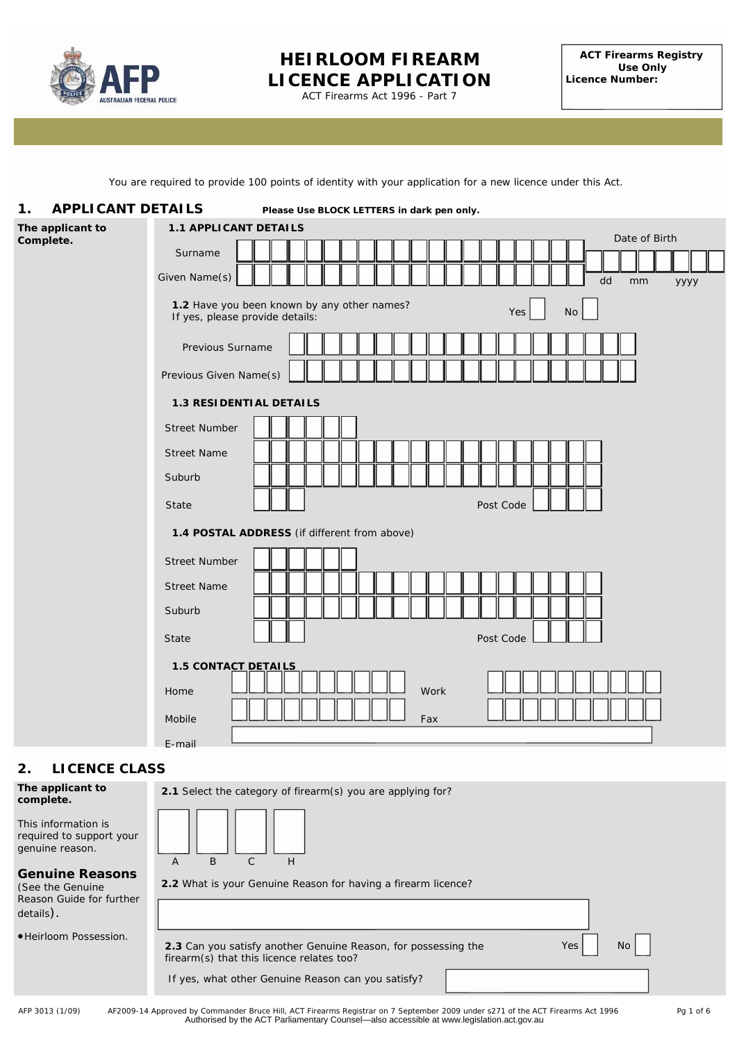

# **HEIRLOOM FIREARM LICENCE APPLICATION**

ACT Firearms Act 1996 - Part 7

You are required to provide 100 points of identity with your application for a new licence under this Act.

| <b>APPLICANT DETAILS</b><br>1.<br>Please Use BLOCK LETTERS in dark pen only.        |                                                                                                                          |  |  |  |
|-------------------------------------------------------------------------------------|--------------------------------------------------------------------------------------------------------------------------|--|--|--|
| The applicant to<br><b>1.1 APPLICANT DETAILS</b>                                    |                                                                                                                          |  |  |  |
| Complete.                                                                           | Date of Birth<br>Surname                                                                                                 |  |  |  |
|                                                                                     | Given Name(s)<br>dd<br>mm<br>уууу                                                                                        |  |  |  |
|                                                                                     | 1.2 Have you been known by any other names?<br>No<br>Yes<br>If yes, please provide details:                              |  |  |  |
|                                                                                     | Previous Surname                                                                                                         |  |  |  |
|                                                                                     | Previous Given Name(s)                                                                                                   |  |  |  |
| <b>1.3 RESIDENTIAL DETAILS</b>                                                      |                                                                                                                          |  |  |  |
|                                                                                     | <b>Street Number</b>                                                                                                     |  |  |  |
|                                                                                     | <b>Street Name</b>                                                                                                       |  |  |  |
|                                                                                     | Suburb                                                                                                                   |  |  |  |
|                                                                                     | Post Code<br>State                                                                                                       |  |  |  |
|                                                                                     | 1.4 POSTAL ADDRESS (if different from above)                                                                             |  |  |  |
|                                                                                     | <b>Street Number</b>                                                                                                     |  |  |  |
|                                                                                     | <b>Street Name</b>                                                                                                       |  |  |  |
|                                                                                     | Suburb                                                                                                                   |  |  |  |
|                                                                                     | Post Code<br><b>State</b>                                                                                                |  |  |  |
|                                                                                     | 1.5 CONTACT DETAILS                                                                                                      |  |  |  |
|                                                                                     | Work<br>Home                                                                                                             |  |  |  |
|                                                                                     | Mobile<br>Fax                                                                                                            |  |  |  |
|                                                                                     | E-mail                                                                                                                   |  |  |  |
| <b>LICENCE CLASS</b><br>2.                                                          |                                                                                                                          |  |  |  |
| The applicant to<br>complete.                                                       | 2.1 Select the category of firearm(s) you are applying for?                                                              |  |  |  |
| This information is<br>required to support your<br>genuine reason.                  | B<br>$\mathsf C$<br>H<br>Α                                                                                               |  |  |  |
| <b>Genuine Reasons</b><br>(See the Genuine<br>Reason Guide for further<br>details). | 2.2 What is your Genuine Reason for having a firearm licence?                                                            |  |  |  |
| ·Heirloom Possession.                                                               | 2.3 Can you satisfy another Genuine Reason, for possessing the<br>Yes<br>No<br>firearm(s) that this licence relates too? |  |  |  |
|                                                                                     | If yes, what other Genuine Reason can you satisfy?                                                                       |  |  |  |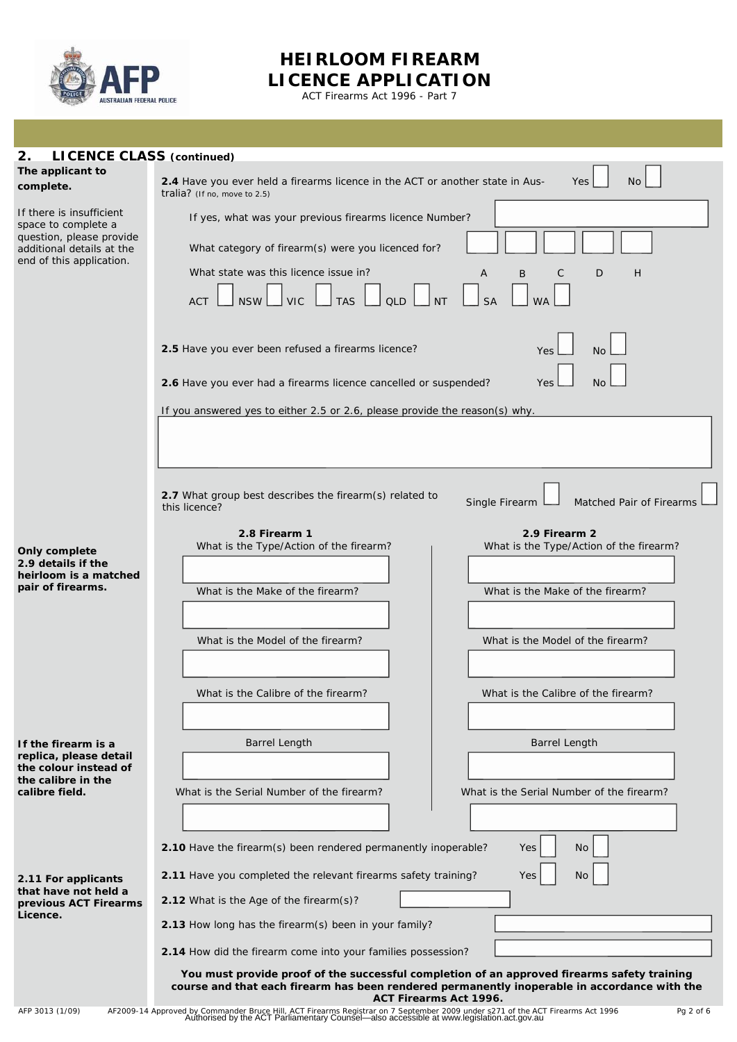

# **HEIRLOOM FIREARM LICENCE APPLICATION**

ACT Firearms Act 1996 - Part 7

| 2.<br><b>LICENCE CLASS (continued)</b>                                                                         |                                                                                                                                                                                                                       |
|----------------------------------------------------------------------------------------------------------------|-----------------------------------------------------------------------------------------------------------------------------------------------------------------------------------------------------------------------|
| The applicant to                                                                                               |                                                                                                                                                                                                                       |
| complete.                                                                                                      | 2.4 Have you ever held a firearms licence in the ACT or another state in Aus-<br>Yes<br>No.<br>tralia? (If no, move to 2.5)                                                                                           |
| If there is insufficient<br>space to complete a                                                                | If yes, what was your previous firearms licence Number?                                                                                                                                                               |
| question, please provide<br>additional details at the<br>end of this application.                              | What category of firearm(s) were you licenced for?                                                                                                                                                                    |
|                                                                                                                | What state was this licence issue in?<br>A<br>B<br>С<br>D<br>H                                                                                                                                                        |
|                                                                                                                | <b>TAS</b><br><b>VIC</b><br><b>ACT</b><br><b>NSW</b><br><b>OLD</b>                                                                                                                                                    |
|                                                                                                                | 2.5 Have you ever been refused a firearms licence?<br>Yes<br><b>No</b><br>2.6 Have you ever had a firearms licence cancelled or suspended?<br>Yes<br>No.                                                              |
|                                                                                                                | If you answered yes to either 2.5 or 2.6, please provide the reason(s) why.                                                                                                                                           |
|                                                                                                                |                                                                                                                                                                                                                       |
|                                                                                                                |                                                                                                                                                                                                                       |
|                                                                                                                | 2.7 What group best describes the firearm(s) related to<br>Single Firearm<br>Matched Pair of Firearms<br>this licence?                                                                                                |
| <b>Only complete</b><br>2.9 details if the<br>heirloom is a matched<br>pair of firearms.                       | 2.8 Firearm 1<br>2.9 Firearm 2<br>What is the Type/Action of the firearm?<br>What is the Type/Action of the firearm?                                                                                                  |
|                                                                                                                | What is the Make of the firearm?<br>What is the Make of the firearm?                                                                                                                                                  |
|                                                                                                                | What is the Model of the firearm?<br>What is the Model of the firearm?                                                                                                                                                |
|                                                                                                                |                                                                                                                                                                                                                       |
|                                                                                                                | What is the Calibre of the firearm?<br>What is the Calibre of the firearm?                                                                                                                                            |
|                                                                                                                |                                                                                                                                                                                                                       |
| If the firearm is a<br>replica, please detail<br>the colour instead of<br>the calibre in the<br>calibre field. | Barrel Length<br><b>Barrel Length</b>                                                                                                                                                                                 |
|                                                                                                                | What is the Serial Number of the firearm?<br>What is the Serial Number of the firearm?                                                                                                                                |
|                                                                                                                |                                                                                                                                                                                                                       |
|                                                                                                                | 2.10 Have the firearm(s) been rendered permanently inoperable?<br>Yes<br>No                                                                                                                                           |
| 2.11 For applicants                                                                                            | 2.11 Have you completed the relevant firearms safety training?<br>No<br>Yes                                                                                                                                           |
| that have not held a<br>previous ACT Firearms                                                                  | 2.12 What is the Age of the firearm(s)?                                                                                                                                                                               |
| Licence.                                                                                                       | 2.13 How long has the firearm(s) been in your family?                                                                                                                                                                 |
|                                                                                                                | 2.14 How did the firearm come into your families possession?                                                                                                                                                          |
|                                                                                                                | You must provide proof of the successful completion of an approved firearms safety training<br>course and that each firearm has been rendered permanently inoperable in accordance with the<br>ACT Firearms Act 1996. |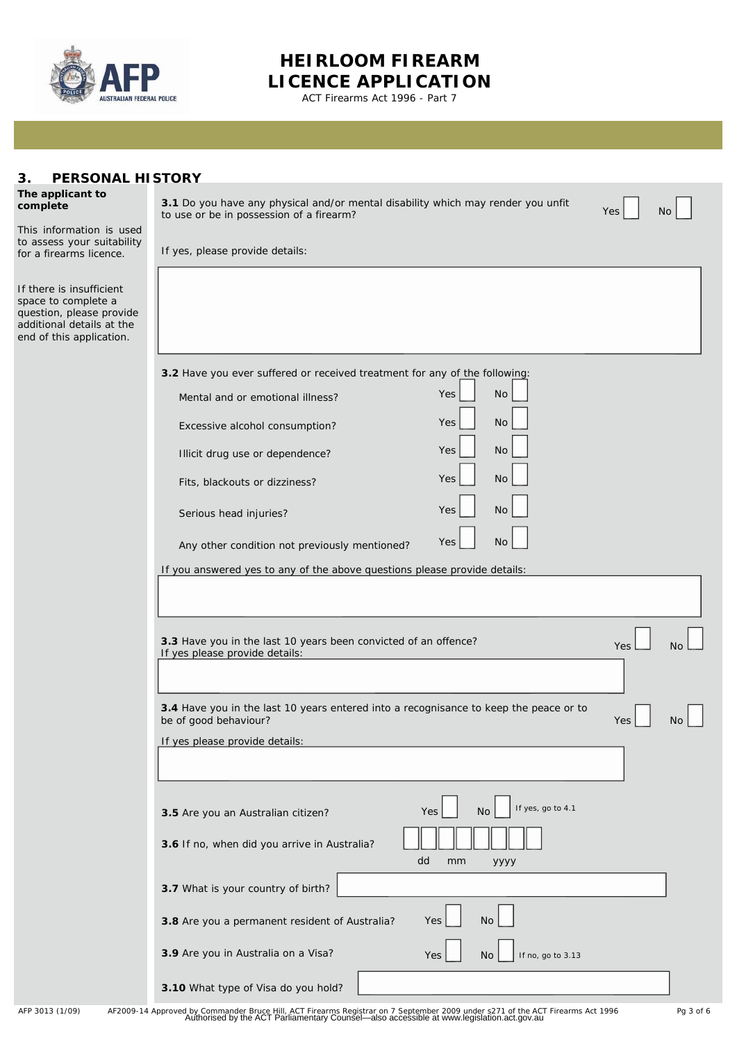

# **HEIRLOOM FIREARM LICENCE APPLICATION**

ACT Firearms Act 1996 - Part 7

| <b>PERSONAL HISTORY</b><br>З.                                                                                                        |                                                                                                                                            |  |  |
|--------------------------------------------------------------------------------------------------------------------------------------|--------------------------------------------------------------------------------------------------------------------------------------------|--|--|
| The applicant to<br>complete                                                                                                         | 3.1 Do you have any physical and/or mental disability which may render you unfit<br>Yes<br>No.<br>to use or be in possession of a firearm? |  |  |
| This information is used<br>to assess your suitability                                                                               |                                                                                                                                            |  |  |
| for a firearms licence.                                                                                                              | If yes, please provide details:                                                                                                            |  |  |
| If there is insufficient<br>space to complete a<br>question, please provide<br>additional details at the<br>end of this application. |                                                                                                                                            |  |  |
|                                                                                                                                      | 3.2 Have you ever suffered or received treatment for any of the following:                                                                 |  |  |
|                                                                                                                                      | Yes<br><b>No</b><br>Mental and or emotional illness?                                                                                       |  |  |
|                                                                                                                                      | Yes<br><b>No</b><br>Excessive alcohol consumption?                                                                                         |  |  |
|                                                                                                                                      | Yes<br><b>No</b><br>Illicit drug use or dependence?                                                                                        |  |  |
|                                                                                                                                      | <b>No</b><br><b>Yes</b><br>Fits, blackouts or dizziness?                                                                                   |  |  |
|                                                                                                                                      | <b>No</b><br><b>Yes</b><br>Serious head injuries?                                                                                          |  |  |
|                                                                                                                                      | <b>Yes</b><br><b>No</b><br>Any other condition not previously mentioned?                                                                   |  |  |
|                                                                                                                                      | If you answered yes to any of the above questions please provide details:                                                                  |  |  |
|                                                                                                                                      |                                                                                                                                            |  |  |
|                                                                                                                                      | 3.3 Have you in the last 10 years been convicted of an offence?<br>Yes<br>If yes please provide details:                                   |  |  |
|                                                                                                                                      | 3.4 Have you in the last 10 years entered into a recognisance to keep the peace or to<br>be of good behaviour?<br>Yes                      |  |  |
|                                                                                                                                      | If yes please provide details:                                                                                                             |  |  |
|                                                                                                                                      |                                                                                                                                            |  |  |
|                                                                                                                                      |                                                                                                                                            |  |  |
|                                                                                                                                      | If yes, go to 4.1<br><b>No</b><br>Yes<br>3.5 Are you an Australian citizen?                                                                |  |  |
| 3.6 If no, when did you arrive in Australia?<br>dd<br>mm<br>уууу                                                                     |                                                                                                                                            |  |  |
|                                                                                                                                      | 3.7 What is your country of birth?                                                                                                         |  |  |
|                                                                                                                                      | No<br>3.8 Are you a permanent resident of Australia?<br>Yes                                                                                |  |  |
|                                                                                                                                      | 3.9 Are you in Australia on a Visa?<br>If no, go to 3.13<br>Yes<br>No.                                                                     |  |  |
|                                                                                                                                      | 3.10 What type of Visa do you hold?                                                                                                        |  |  |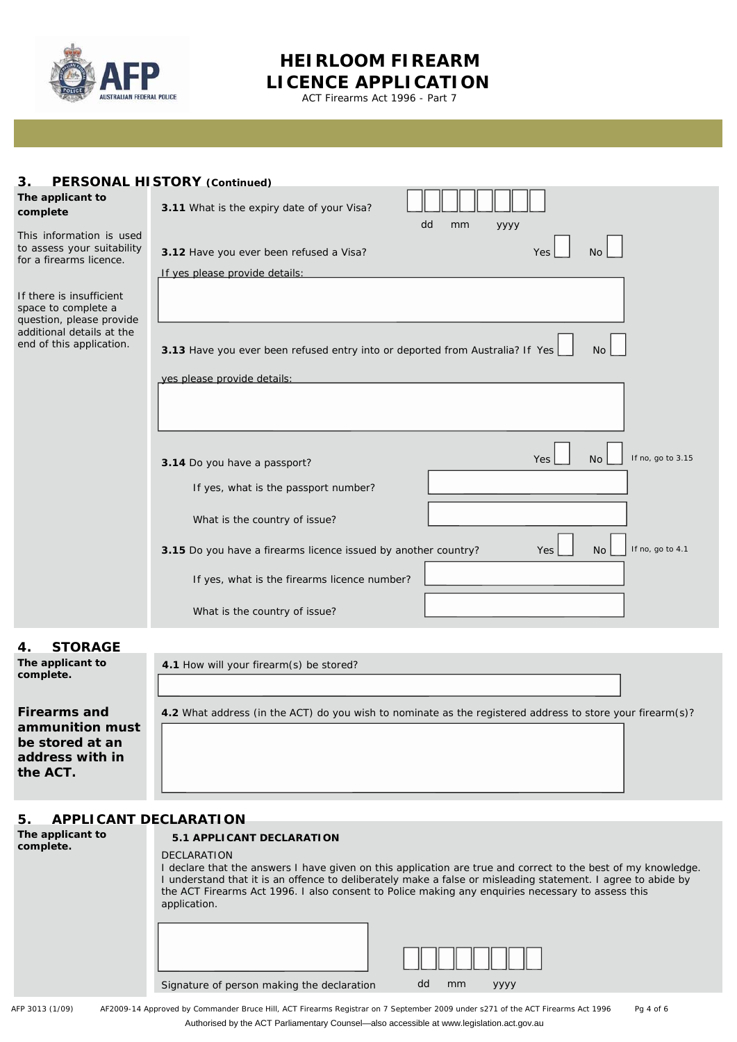

## **HEIRLOOM FIREARM LICENCE APPLICATION**

ACT Firearms Act 1996 - Part 7

| PERSONAL HISTORY (Continued)<br>3.                                                                                                   |                                                                                                                              |  |  |
|--------------------------------------------------------------------------------------------------------------------------------------|------------------------------------------------------------------------------------------------------------------------------|--|--|
| The applicant to<br>complete                                                                                                         | 3.11 What is the expiry date of your Visa?<br>dd<br>mm<br>уууу                                                               |  |  |
| This information is used<br>to assess your suitability<br>for a firearms licence.                                                    | 3.12 Have you ever been refused a Visa?<br>Yes<br><b>No</b>                                                                  |  |  |
| If there is insufficient<br>space to complete a<br>question, please provide<br>additional details at the<br>end of this application. | If yes please provide details:<br>3.13 Have you ever been refused entry into or deported from Australia? If Yes<br><b>No</b> |  |  |
|                                                                                                                                      | yes please provide details:                                                                                                  |  |  |
|                                                                                                                                      | If no, go to 3.15<br>N <sub>O</sub><br>Yes<br>3.14 Do you have a passport?<br>If yes, what is the passport number?           |  |  |
|                                                                                                                                      | What is the country of issue?                                                                                                |  |  |
|                                                                                                                                      | If no, go to 4.1<br>3.15 Do you have a firearms licence issued by another country?<br>N <sub>o</sub><br><b>Yes</b>           |  |  |
|                                                                                                                                      | If yes, what is the firearms licence number?                                                                                 |  |  |
|                                                                                                                                      | What is the country of issue?                                                                                                |  |  |
| <b>STORAGE</b><br>4.<br>The applicant to<br>complete.                                                                                | 4.1 How will your firearm(s) be stored?                                                                                      |  |  |

### **5. APPLICANT DECLARATION**

| The applicant to |  |
|------------------|--|
| complete.        |  |
|                  |  |

**Firearms and ammunition must be stored at an address with in** 

**the ACT.**

#### **5.1 APPLICANT DECLARATION**

#### DECLARATION

I declare that the answers I have given on this application are true and correct to the best of my knowledge. I understand that it is an offence to deliberately make a false or misleading statement. I agree to abide by the ACT Firearms Act 1996. I also consent to Police making any enquiries necessary to assess this application.

**4.2** What address (in the ACT) do you wish to nominate as the registered address to store your firearm(s)?

| Signature of person making the declaration | dd<br>mm<br>VVVV |
|--------------------------------------------|------------------|

AFP 3013 (1/09) AF2009-14 Approved by Commander Bruce Hill, ACT Firearms Registrar on 7 September 2009 under s271 of the *ACT Firearms Act 1996* Pg 4 of 6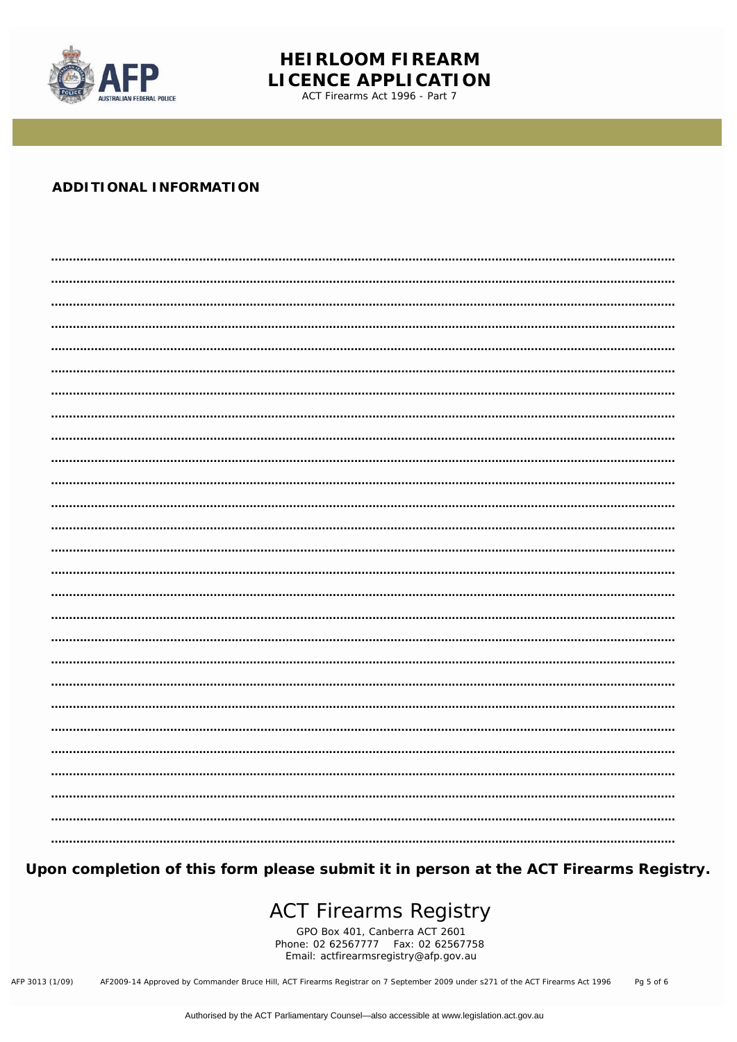

# **HEIRLOOM FIREARM LICENCE APPLICATION**

ACT Firearms Act 1996 - Part 7

### **ADDITIONAL INFORMATION**

Upon completion of this form please submit it in person at the ACT Firearms Registry.

# **ACT Firearms Registry**

GPO Box 401, Canberra ACT 2601<br>Phone: 02 62567777 Fax: 02 62567758 Email: actfirearmsregistry@afp.gov.au

AF2009-14 Approved by Commander Bruce Hill, ACT Firearms Registrar on 7 September 2009 under s271 of the ACT Firearms Act 1996 AFP 3013 (1/09) Pg 5 of 6